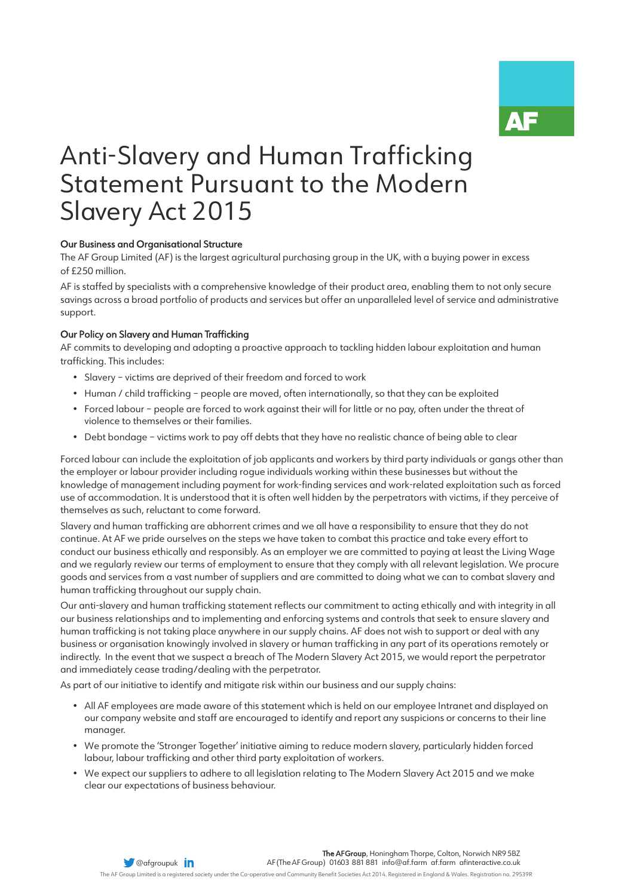# Anti-Slavery and Human Trafficking Statement Pursuant to the Modern Slavery Act 2015

## Our Business and Organisational Structure

The AF Group Limited (AF) is the largest agricultural purchasing group in the UK, with a buying power in excess of £250 million.

AF is staffed by specialists with a comprehensive knowledge of their product area, enabling them to not only secure savings across a broad portfolio of products and services but offer an unparalleled level of service and administrative support.

## Our Policy on Slavery and Human Trafficking

AF commits to developing and adopting a proactive approach to tackling hidden labour exploitation and human trafficking. This includes:

- Slavery victims are deprived of their freedom and forced to work
- Human / child trafficking people are moved, often internationally, so that they can be exploited
- Forced labour people are forced to work against their will for little or no pay, often under the threat of violence to themselves or their families.
- Debt bondage victims work to pay off debts that they have no realistic chance of being able to clear

Forced labour can include the exploitation of job applicants and workers by third party individuals or gangs other than the employer or labour provider including rogue individuals working within these businesses but without the knowledge of management including payment for work-finding services and work-related exploitation such as forced use of accommodation. It is understood that it is often well hidden by the perpetrators with victims, if they perceive of themselves as such, reluctant to come forward.

Slavery and human trafficking are abhorrent crimes and we all have a responsibility to ensure that they do not continue. At AF we pride ourselves on the steps we have taken to combat this practice and take every effort to conduct our business ethically and responsibly. As an employer we are committed to paying at least the Living Wage and we regularly review our terms of employment to ensure that they comply with all relevant legislation. We procure goods and services from a vast number of suppliers and are committed to doing what we can to combat slavery and human trafficking throughout our supply chain.

Our anti-slavery and human trafficking statement reflects our commitment to acting ethically and with integrity in all our business relationships and to implementing and enforcing systems and controls that seek to ensure slavery and human trafficking is not taking place anywhere in our supply chains. AF does not wish to support or deal with any business or organisation knowingly involved in slavery or human trafficking in any part of its operations remotely or indirectly. In the event that we suspect a breach of The Modern Slavery Act 2015, we would report the perpetrator and immediately cease trading/dealing with the perpetrator.

As part of our initiative to identify and mitigate risk within our business and our supply chains:

- All AF employees are made aware of this statement which is held on our employee Intranet and displayed on our company website and staff are encouraged to identify and report any suspicions or concerns to their line manager.
- We promote the 'Stronger Together' initiative aiming to reduce modern slavery, particularly hidden forced labour, labour trafficking and other third party exploitation of workers.
- We expect our suppliers to adhere to all legislation relating to The Modern Slavery Act 2015 and we make clear our expectations of business behaviour.